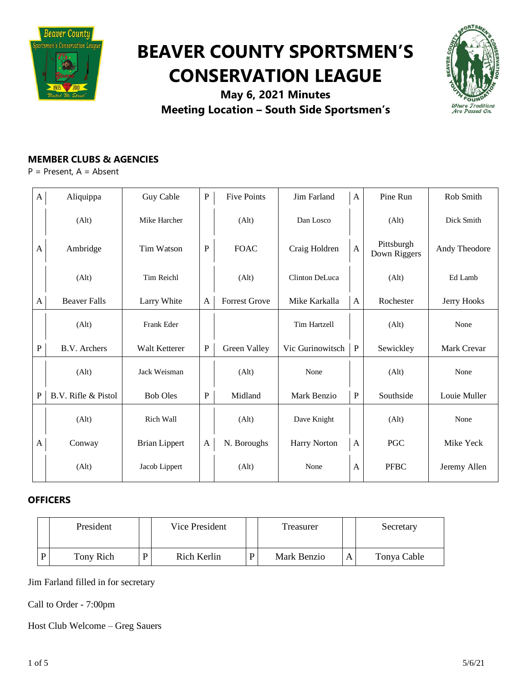

# **BEAVER COUNTY SPORTSMEN'S CONSERVATION LEAGUE**



**May 6, 2021 Minutes Meeting Location – South Side Sportsmen's**

## **MEMBER CLUBS & AGENCIES**

P = Present, A = Absent

| A            | Aliquippa           | Guy Cable            | ${\bf P}$    | <b>Five Points</b>   | Jim Farland         | A            | Pine Run                   | Rob Smith     |
|--------------|---------------------|----------------------|--------------|----------------------|---------------------|--------------|----------------------------|---------------|
|              | (A <sup>l</sup> t)  | Mike Harcher         |              | (Alt)                | Dan Losco           |              | (Alt)                      | Dick Smith    |
| A            | Ambridge            | Tim Watson           | $\mathbf P$  | <b>FOAC</b>          | Craig Holdren       | $\mathbf{A}$ | Pittsburgh<br>Down Riggers | Andy Theodore |
|              | (Alt)               | <b>Tim Reichl</b>    |              | (Alt)                | Clinton DeLuca      |              | (Alt)                      | Ed Lamb       |
| $\mathbf{A}$ | <b>Beaver Falls</b> | Larry White          | A            | <b>Forrest Grove</b> | Mike Karkalla       | $\mathbf{A}$ | Rochester                  | Jerry Hooks   |
|              | (Alt)               | Frank Eder           |              |                      | <b>Tim Hartzell</b> |              | (Alt)                      | None          |
| P            | B.V. Archers        | Walt Ketterer        | ${\bf P}$    | Green Valley         | Vic Gurinowitsch    | $\mathbf{P}$ | Sewickley                  | Mark Crevar   |
|              | (Alt)               | Jack Weisman         |              | (Alt)                | None                |              | (Alt)                      | None          |
| $\mathbf{P}$ | B.V. Rifle & Pistol | <b>Bob Oles</b>      | $\mathbf{P}$ | Midland              | Mark Benzio         | $\, {\bf P}$ | Southside                  | Louie Muller  |
|              | (Alt)               | Rich Wall            |              | (Alt)                | Dave Knight         |              | (Alt)                      | None          |
| A            | Conway              | <b>Brian Lippert</b> | $\mathbf{A}$ | N. Boroughs          | Harry Norton        | A            | PGC                        | Mike Yeck     |
|              | (Alt)               | Jacob Lippert        |              | (Alt)                | None                | A            | <b>PFBC</b>                | Jeremy Allen  |

## **OFFICERS**

| President |   | Vice President | Treasurer   |   | Secretary   |
|-----------|---|----------------|-------------|---|-------------|
| Tony Rich | D | Rich Kerlin    | Mark Benzio | А | Tonya Cable |

Jim Farland filled in for secretary

Call to Order - 7:00pm

Host Club Welcome – Greg Sauers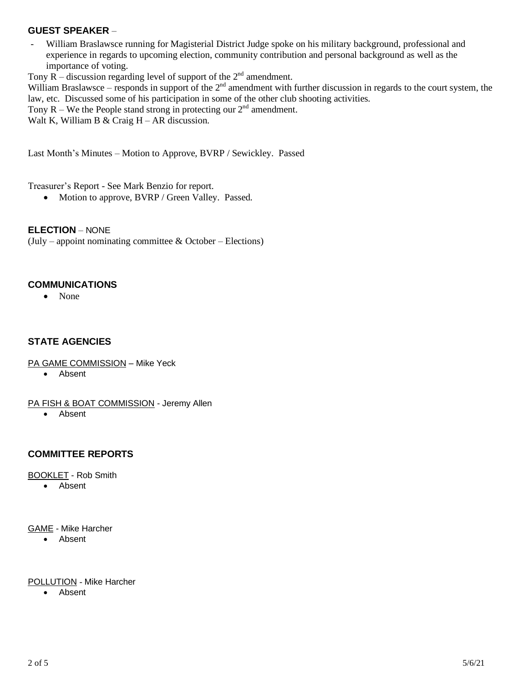## **GUEST SPEAKER** –

- William Braslawsce running for Magisterial District Judge spoke on his military background, professional and experience in regards to upcoming election, community contribution and personal background as well as the importance of voting.

Tony  $\overline{R}$  – discussion regarding level of support of the  $2<sup>nd</sup>$  amendment.

William Braslawsce – responds in support of the  $2<sup>nd</sup>$  amendment with further discussion in regards to the court system, the law, etc. Discussed some of his participation in some of the other club shooting activities.

Tony  $R$  – We the People stand strong in protecting our  $2<sup>nd</sup>$  amendment.

Walt K, William B & Craig  $H - AR$  discussion.

Last Month's Minutes – Motion to Approve, BVRP / Sewickley. Passed

Treasurer's Report - See Mark Benzio for report.

• Motion to approve, BVRP / Green Valley. Passed.

**ELECTION** – NONE

(July – appoint nominating committee  $& October - Electronics)$ )

#### **COMMUNICATIONS**

• None

## **STATE AGENCIES**

- PA GAME COMMISSION Mike Yeck
	- Absent

PA FISH & BOAT COMMISSION - Jeremy Allen

• Absent

## **COMMITTEE REPORTS**

BOOKLET - Rob Smith

• Absent

GAME - Mike Harcher

• Absent

#### POLLUTION - Mike Harcher

• Absent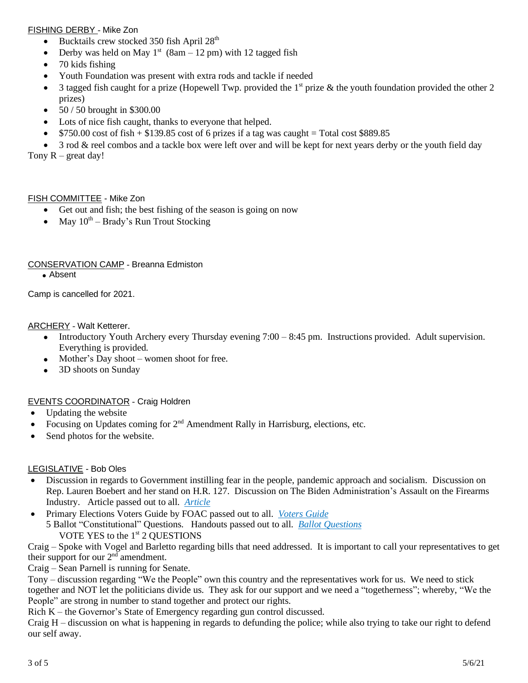#### FISHING DERBY - Mike Zon

- Bucktails crew stocked 350 fish April  $28<sup>th</sup>$
- Derby was held on May  $1<sup>st</sup>$  (8am 12 pm) with 12 tagged fish
- 70 kids fishing
- Youth Foundation was present with extra rods and tackle if needed
- 3 tagged fish caught for a prize (Hopewell Twp. provided the  $1<sup>st</sup>$  prize & the youth foundation provided the other 2 prizes)
- $50 / 50$  brought in \$300.00
- Lots of nice fish caught, thanks to everyone that helped.
- $$750.00 \text{ cost of fish} + $139.85 \text{ cost of 6 prizes if a tag was caught} = Total cost $889.85$
- 3 rod & reel combos and a tackle box were left over and will be kept for next years derby or the youth field day

Tony  $R -$  great day!

#### FISH COMMITTEE - Mike Zon

- Get out and fish; the best fishing of the season is going on now
- May  $10^{th}$  Brady's Run Trout Stocking

## CONSERVATION CAMP - Breanna Edmiston

• Absent

Camp is cancelled for 2021.

**ARCHERY** - Walt Ketterer.

- Introductory Youth Archery every Thursday evening 7:00 8:45 pm. Instructions provided. Adult supervision. Everything is provided.
- Mother's Day shoot women shoot for free.
- 3D shoots on Sunday

## EVENTS COORDINATOR - Craig Holdren

- Updating the website
- Focusing on Updates coming for  $2<sup>nd</sup>$  Amendment Rally in Harrisburg, elections, etc.
- Send photos for the website.

## LEGISLATIVE - Bob Oles

- Discussion in regards to Government instilling fear in the people, pandemic approach and socialism. Discussion on Rep. Lauren Boebert and her stand on H.R. 127. Discussion on The Biden Administration's Assault on the Firearms Industry. Article passed out to all. *[Article](https://drive.google.com/file/d/15xj7KpNQJkXxQLgBXtsaHUwrOMvJ-u5b/view?usp=sharing)*
- Primary Elections Voters Guide by FOAC passed out to all. *[Voters](https://drive.google.com/file/d/10HOUnm6C9__mR33yNUsMX1LF2HrCquiM/view?usp=sharing) Guide* 5 Ballot "Constitutional" Questions. Handouts passed out to all. *Ballot [Questions](https://drive.google.com/file/d/1dGMIRm0ujLFyhxltkJRgnremgTEa-WS7/view?usp=sharing)* VOTE YES to the 1<sup>st</sup> 2 QUESTIONS

Craig – Spoke with Vogel and Barletto regarding bills that need addressed. It is important to call your representatives to get their support for our  $2<sup>nd</sup>$  amendment.

Craig – Sean Parnell is running for Senate.

Tony – discussion regarding "We the People" own this country and the representatives work for us. We need to stick together and NOT let the politicians divide us. They ask for our support and we need a "togetherness"; whereby, "We the People" are strong in number to stand together and protect our rights.

Rich K – the Governor's State of Emergency regarding gun control discussed.

Craig H – discussion on what is happening in regards to defunding the police; while also trying to take our right to defend our self away.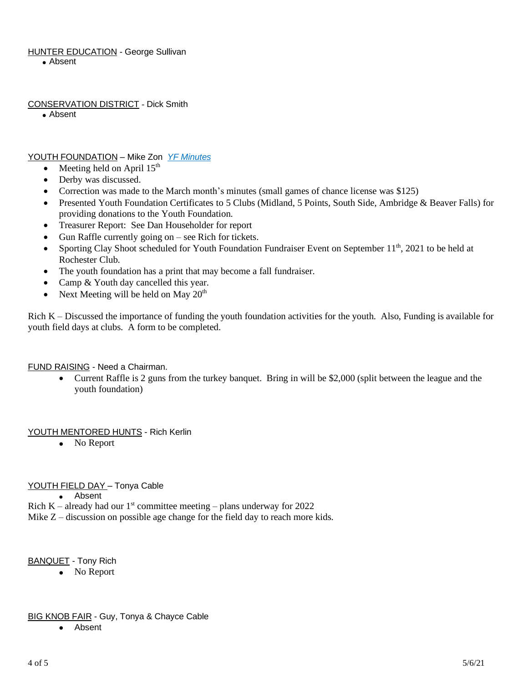## **HUNTER EDUCATION - George Sullivan**

• Absent

## CONSERVATION DISTRICT - Dick Smith

• Absent

## YOUTH FOUNDATION – Mike Zon *YF [Minutes](https://drive.google.com/file/d/1zBkzQG-uLaQFv1WXCksWy09k0GazlHpV/view?usp=sharing)*

- Meeting held on April  $15<sup>th</sup>$
- Derby was discussed.
- Correction was made to the March month's minutes (small games of chance license was \$125)
- Presented Youth Foundation Certificates to 5 Clubs (Midland, 5 Points, South Side, Ambridge & Beaver Falls) for providing donations to the Youth Foundation.
- Treasurer Report: See Dan Householder for report
- Gun Raffle currently going on  $-$  see Rich for tickets.
- Sporting Clay Shoot scheduled for Youth Foundation Fundraiser Event on September 11<sup>th</sup>, 2021 to be held at Rochester Club.
- The youth foundation has a print that may become a fall fundraiser.
- Camp & Youth day cancelled this year.
- Next Meeting will be held on May  $20<sup>th</sup>$

Rich K – Discussed the importance of funding the youth foundation activities for the youth. Also, Funding is available for youth field days at clubs. A form to be completed.

FUND RAISING - Need a Chairman.

• Current Raffle is 2 guns from the turkey banquet. Bring in will be \$2,000 (split between the league and the youth foundation)

## YOUTH MENTORED HUNTS - Rich Kerlin

• No Report

## YOUTH FIELD DAY - Tonya Cable

• Absent

- Rich K already had our  $1<sup>st</sup>$  committee meeting plans underway for 2022
- Mike Z discussion on possible age change for the field day to reach more kids.

BANQUET - Tony Rich

• No Report

## **BIG KNOB FAIR - Guy, Tonya & Chayce Cable**

• Absent